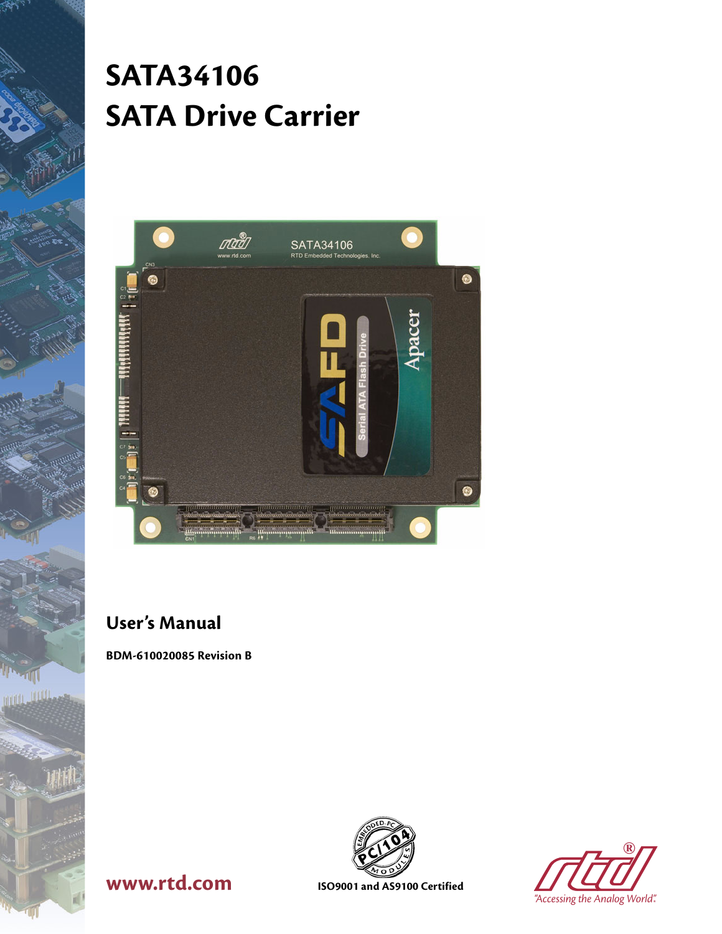# **SATA34106 SATA Drive Carrier**

| C <sub>N3</sub>      | ota<br>www.rtd.com      | SATA34106<br>RTD Embedded Technologies. Inc.                            |        |  |
|----------------------|-------------------------|-------------------------------------------------------------------------|--------|--|
| G<br>C <sub>1</sub>  |                         |                                                                         |        |  |
|                      |                         |                                                                         | Apacer |  |
|                      |                         | m                                                                       |        |  |
|                      |                         |                                                                         |        |  |
| $C7$ and<br>CS<br>C6 |                         |                                                                         |        |  |
| æ                    | ,,,,,,,,,,,,,,,,,,,,,,, | ;;;;;;;;;;;;;;;;;;;;;;;;;;<br>internacional conde                       |        |  |
| CNT                  | <u>Manumunumulli</u>    | <b>CONTRACTOR CONTRACTOR</b><br>Be Windows The War<br><b>Illummmmmm</b> |        |  |

## **User's Manual**

**BDM-610020085 Revision B**



**®**

# **WWW.rtd.com ISO9001** and AS9100 Certified

*"Accessing the Analog World"®*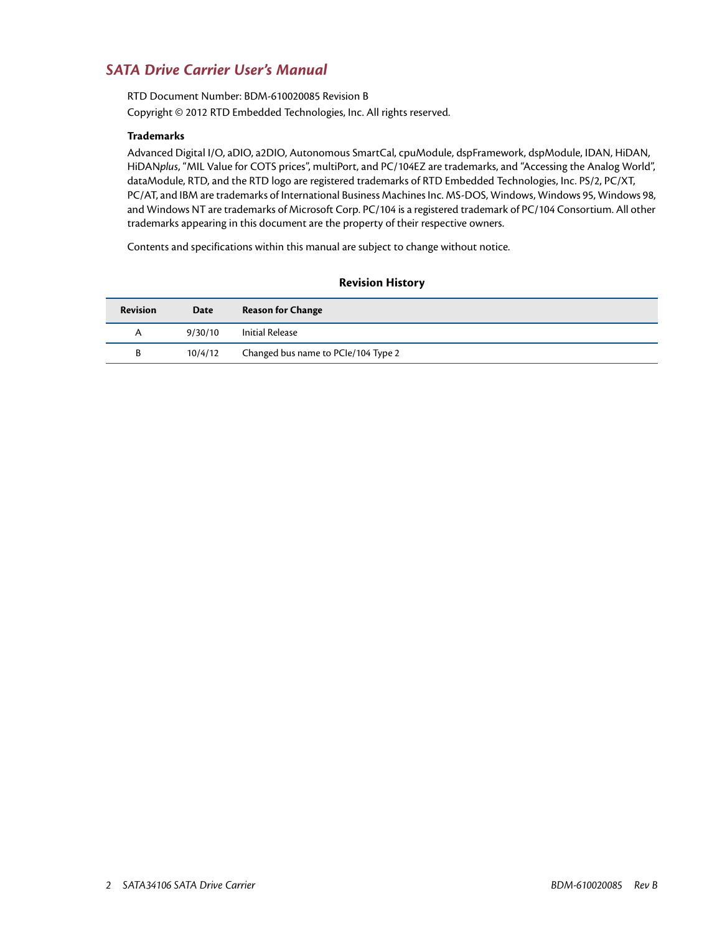#### *SATA Drive Carrier User's Manual*

RTD Document Number: BDM-610020085 Revision B Copyright © 2012 RTD Embedded Technologies, Inc. All rights reserved.

#### **Trademarks**

Advanced Digital I/O, aDIO, a2DIO, Autonomous SmartCal, cpuModule, dspFramework, dspModule, IDAN, HiDAN, HiDAN*plus*, "MIL Value for COTS prices", multiPort, and PC/104EZ are trademarks, and "Accessing the Analog World", dataModule, RTD, and the RTD logo are registered trademarks of RTD Embedded Technologies, Inc. PS/2, PC/XT, PC/AT, and IBM are trademarks of International Business Machines Inc. MS-DOS, Windows, Windows 95, Windows 98, and Windows NT are trademarks of Microsoft Corp. PC/104 is a registered trademark of PC/104 Consortium. All other trademarks appearing in this document are the property of their respective owners.

Contents and specifications within this manual are subject to change without notice.

| <b>Revision</b> | Date    | <b>Reason for Change</b>            |
|-----------------|---------|-------------------------------------|
| A               | 9/30/10 | Initial Release                     |
| В               | 10/4/12 | Changed bus name to PCIe/104 Type 2 |

#### **Revision History**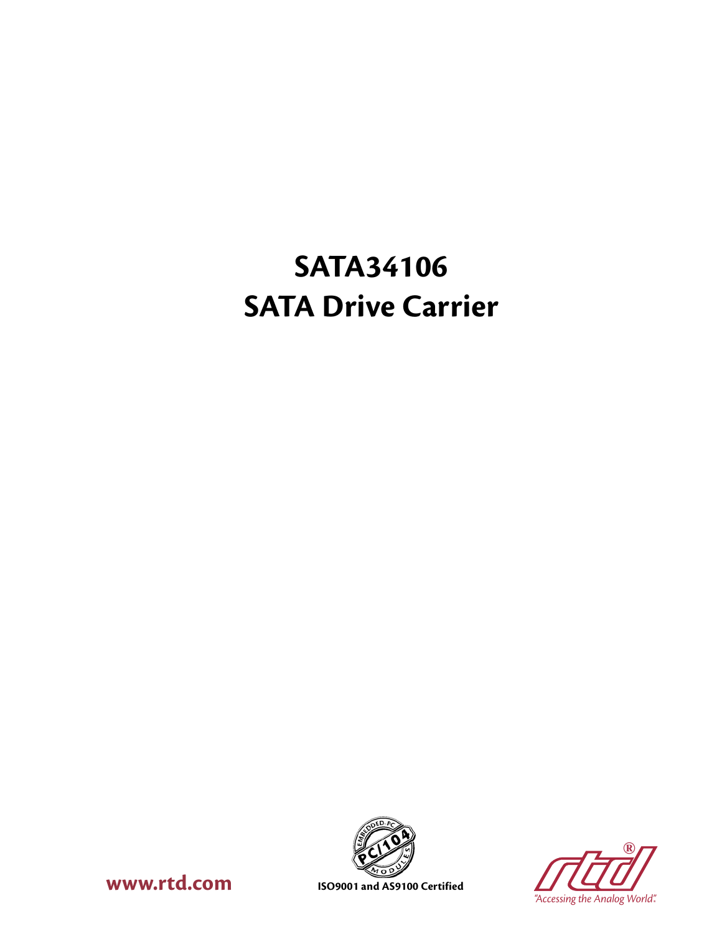# **SATA34106 SATA Drive Carrier**





**WWW.rtd.com ISO9001** and AS9100 Certified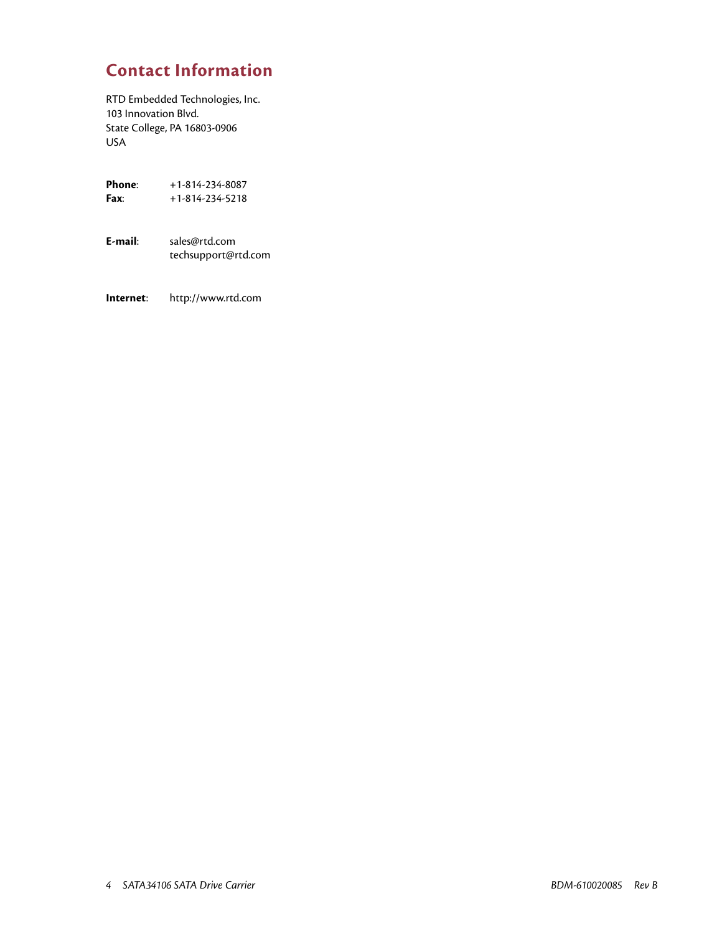## **Contact Information**

RTD Embedded Technologies, Inc. 103 Innovation Blvd. State College, PA 16803-0906 USA

| Phone: | $+1 - 814 - 234 - 8087$ |
|--------|-------------------------|
| Fax:   | $+1-814-234-5218$       |

**E-mail**: sales@rtd.com techsupport@rtd.com

**Internet**: http://www.rtd.com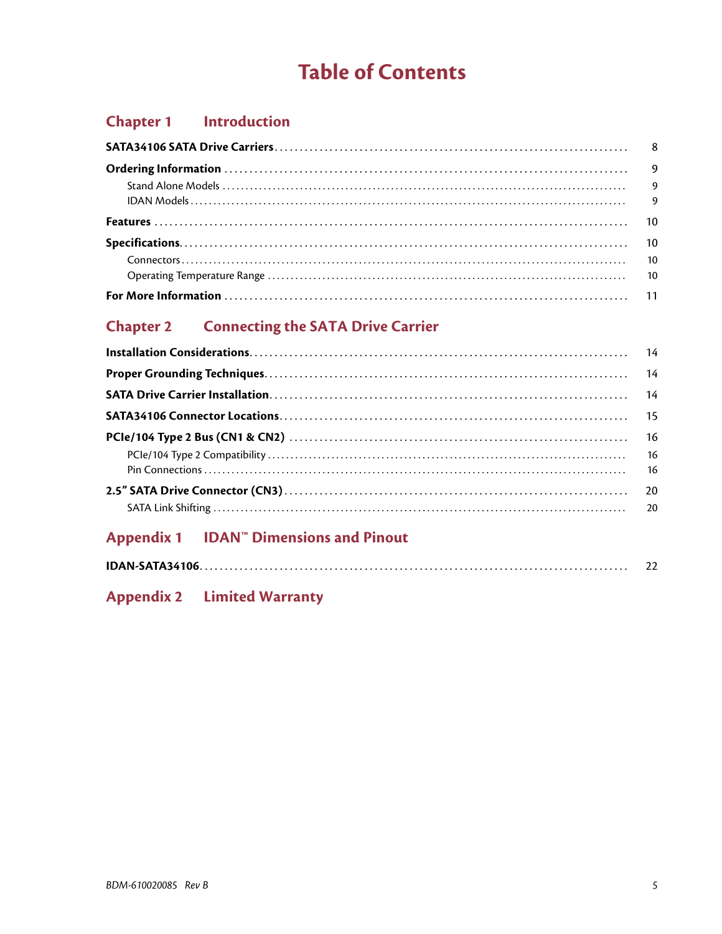# **Table of Contents**

## **Chapter 1** Introduction

## **Chapter 2 Connecting the SATA Drive Carrier**

## Appendix 1 IDAN<sup>T</sup> Dimensions and Pinout

|--|

### **Appendix 2 Limited Warranty**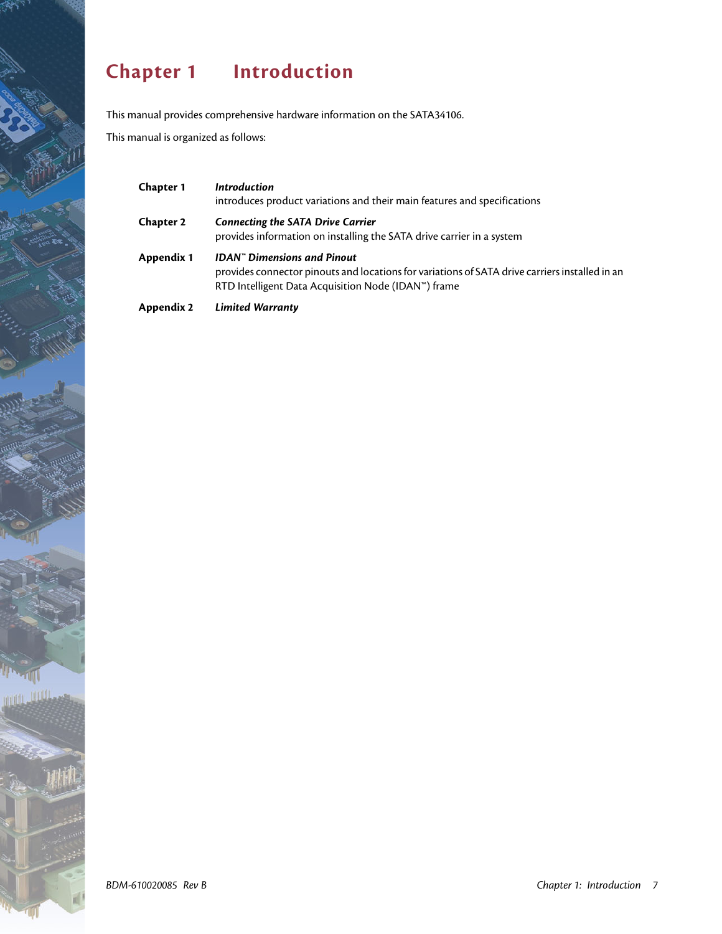# <span id="page-6-0"></span>**Chapter 1 Introduction**

This manual provides comprehensive hardware information on the SATA34106.

This manual is organized as follows:

| <b>Chapter 1</b> | <b>Introduction</b><br>introduces product variations and their main features and specifications                                                                                              |
|------------------|----------------------------------------------------------------------------------------------------------------------------------------------------------------------------------------------|
| <b>Chapter 2</b> | <b>Connecting the SATA Drive Carrier</b><br>provides information on installing the SATA drive carrier in a system                                                                            |
| Appendix 1       | <b>IDAN</b> " Dimensions and Pinout<br>provides connector pinouts and locations for variations of SATA drive carriers installed in an<br>RTD Intelligent Data Acquisition Node (IDAN™) frame |
| Appendix 2       | <b>Limited Warranty</b>                                                                                                                                                                      |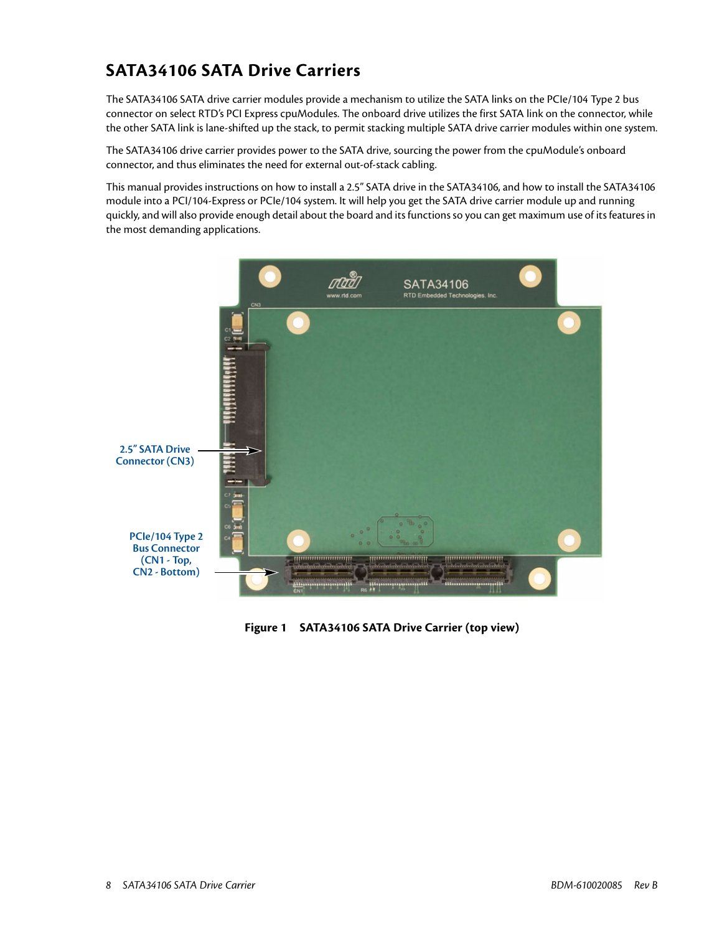## <span id="page-7-0"></span>**SATA34106 SATA Drive Carriers**

The SATA34106 SATA drive carrier modules provide a mechanism to utilize the SATA links on the PCIe/104 Type 2 bus connector on select RTD's PCI Express cpuModules. The onboard drive utilizes the first SATA link on the connector, while the other SATA link is lane-shifted up the stack, to permit stacking multiple SATA drive carrier modules within one system.

The SATA34106 drive carrier provides power to the SATA drive, sourcing the power from the cpuModule's onboard connector, and thus eliminates the need for external out-of-stack cabling.

This manual provides instructions on how to install a 2.5" SATA drive in the SATA34106, and how to install the SATA34106 module into a PCI/104-Express or PCIe/104 system. It will help you get the SATA drive carrier module up and running quickly, and will also provide enough detail about the board and its functions so you can get maximum use of its features in the most demanding applications.



**Figure 1 SATA34106 SATA Drive Carrier (top view)**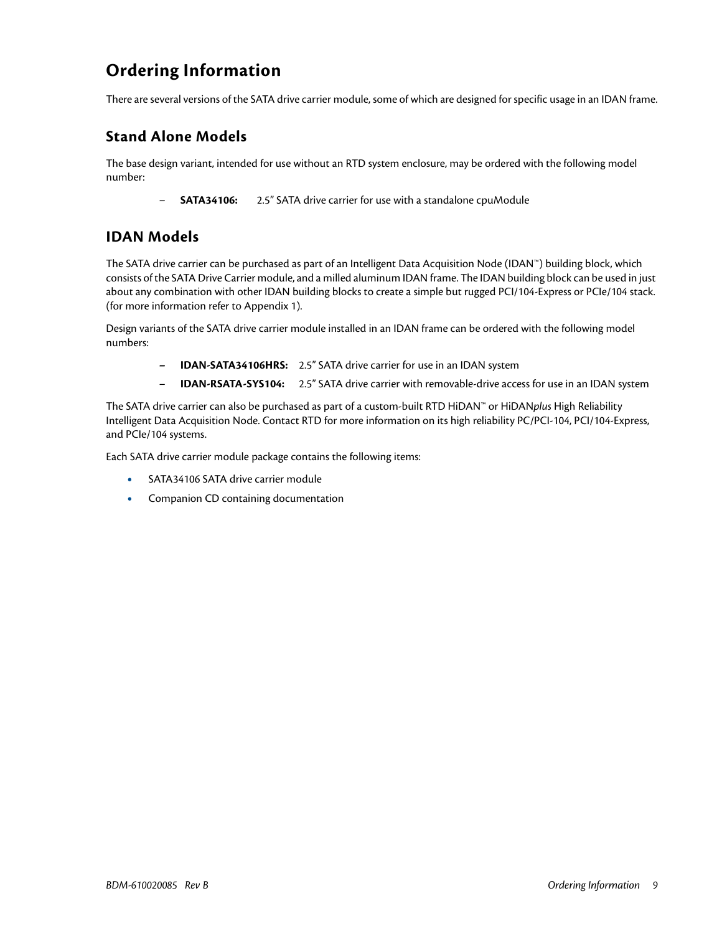## <span id="page-8-0"></span>**Ordering Information**

There are several versions of the SATA drive carrier module, some of which are designed for specific usage in an IDAN frame.

### <span id="page-8-1"></span>**Stand Alone Models**

The base design variant, intended for use without an RTD system enclosure, may be ordered with the following model number:

– **SATA34106:** 2.5" SATA drive carrier for use with a standalone cpuModule

#### <span id="page-8-2"></span>**IDAN Models**

The SATA drive carrier can be purchased as part of an Intelligent Data Acquisition Node (IDAN™) building block, which consists of the SATA Drive Carrier module, and a milled aluminum IDAN frame. The IDAN building block can be used in just about any combination with other IDAN building blocks to create a simple but rugged PCI/104-Express or PCIe/104 stack. (for more information refer to [Appendix 1\)](#page-20-1).

Design variants of the SATA drive carrier module installed in an IDAN frame can be ordered with the following model numbers:

- **IDAN-SATA34106HRS:** 2.5" SATA drive carrier for use in an IDAN system
- **IDAN-RSATA-SYS104:** 2.5" SATA drive carrier with removable-drive access for use in an IDAN system

The SATA drive carrier can also be purchased as part of a custom-built RTD HiDAN™ or HiDAN*plus* High Reliability Intelligent Data Acquisition Node. Contact RTD for more information on its high reliability PC/PCI-104, PCI/104-Express, and PCIe/104 systems.

Each SATA drive carrier module package contains the following items:

- **•** SATA34106 SATA drive carrier module
- **•** Companion CD containing documentation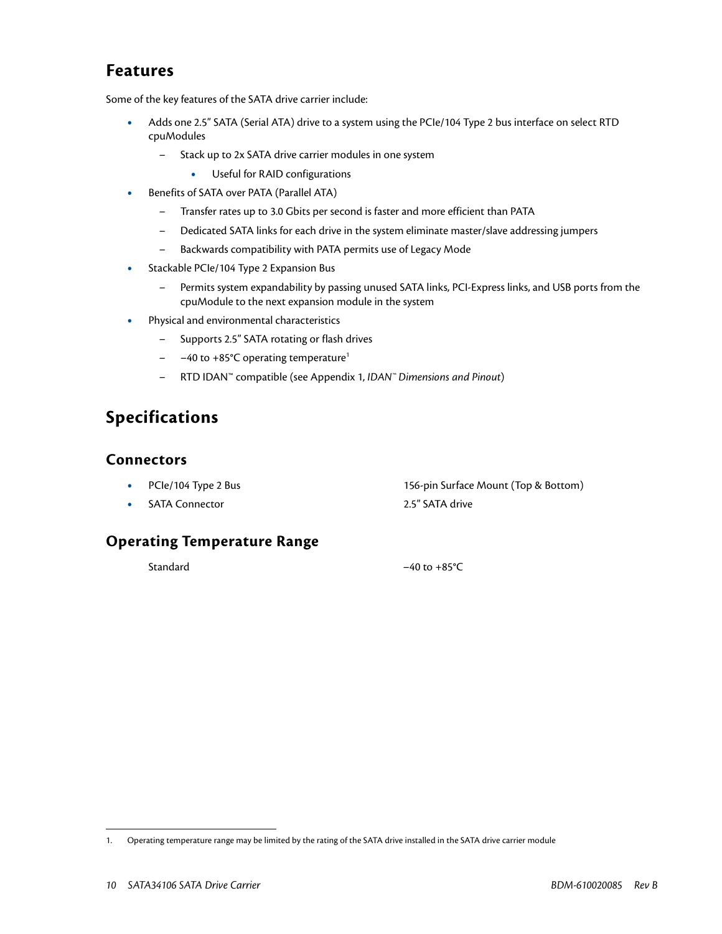## <span id="page-9-0"></span>**Features**

Some of the key features of the SATA drive carrier include:

- **•** Adds one 2.5" SATA (Serial ATA) drive to a system using the PCIe/104 Type 2 bus interface on select RTD cpuModules
	- Stack up to 2x SATA drive carrier modules in one system
		- **•** Useful for RAID configurations
- **•** Benefits of SATA over PATA (Parallel ATA)
	- Transfer rates up to 3.0 Gbits per second is faster and more efficient than PATA
	- Dedicated SATA links for each drive in the system eliminate master/slave addressing jumpers
	- Backwards compatibility with PATA permits use of Legacy Mode
- **•** Stackable PCIe/104 Type 2 Expansion Bus
	- Permits system expandability by passing unused SATA links, PCI-Express links, and USB ports from the cpuModule to the next expansion module in the system
- **•** Physical and environmental characteristics
	- Supports 2.5" SATA rotating or flash drives
	- –40 to +85°C operating temperature<sup>1</sup>
	- RTD IDAN™ compatible (see Appendix 1, *[IDAN™ Dimensions and Pinout](#page-20-1)*)

## <span id="page-9-1"></span>**Specifications**

#### <span id="page-9-2"></span>**Connectors**

• PCIe/104 Type 2 Bus 156-pin Surface Mount (Top & Bottom) **•• SATA Connector •• 2.5" SATA drive** 

<span id="page-9-3"></span>**Operating Temperature Range**

Standard –40 to +85 °C

<sup>1.</sup> Operating temperature range may be limited by the rating of the SATA drive installed in the SATA drive carrier module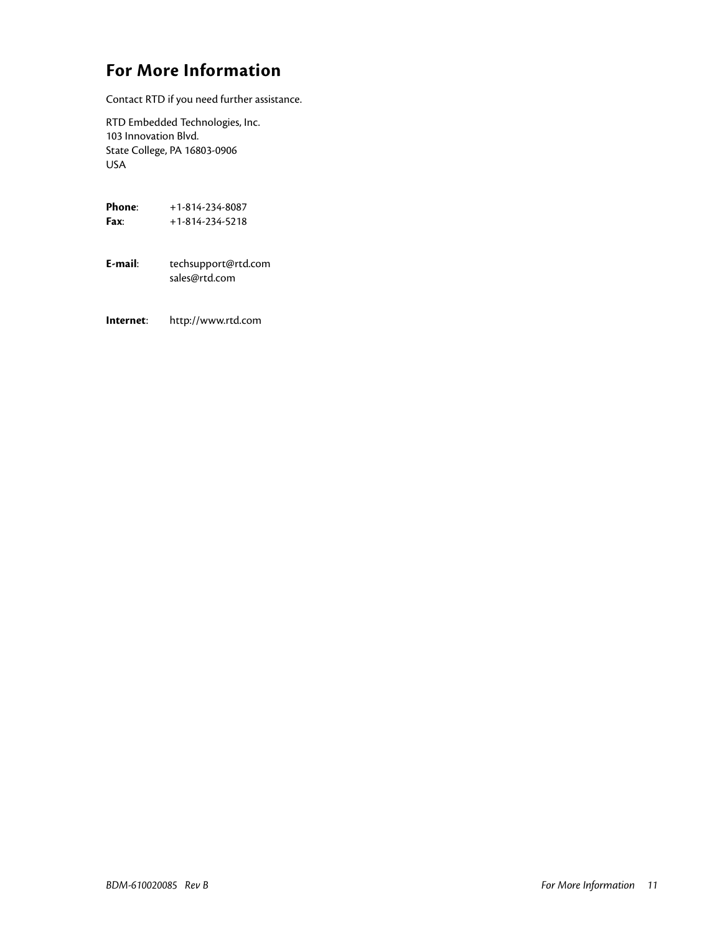## <span id="page-10-0"></span>**For More Information**

Contact RTD if you need further assistance.

RTD Embedded Technologies, Inc. 103 Innovation Blvd. State College, PA 16803-0906 USA

| Phone <sup>.</sup><br>Fax <sup>.</sup> | +1-814-234-8087<br>+1-814-234-5218   |
|----------------------------------------|--------------------------------------|
| F-mail·                                | techsupport@rtd.com<br>sales@rtd.com |
| Internet:                              | http://www.rtd.com                   |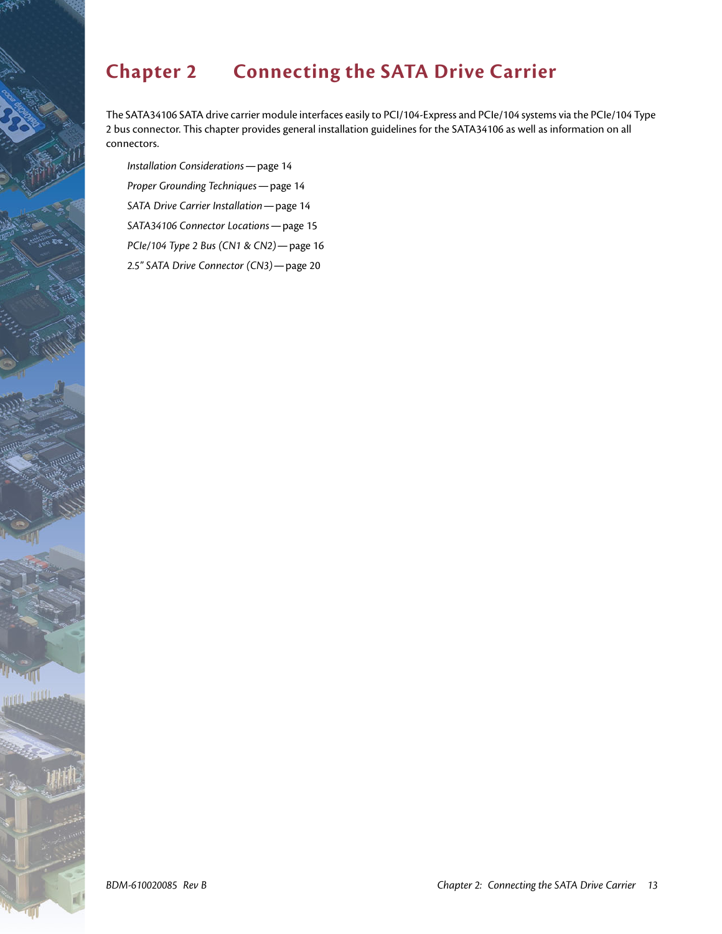# <span id="page-12-1"></span><span id="page-12-0"></span>**Chapter 2 Connecting the SATA Drive Carrier**

The SATA34106 SATA drive carrier module interfaces easily to PCI/104-Express and PCIe/104 systems via the PCIe/104 Type 2 bus connector. This chapter provides general installation guidelines for the SATA34106 as well as information on all connectors.

*[Installation Considerations](#page-13-0)*—page 14 *[Proper Grounding Techniques](#page-13-1)*—page 14 *[SATA Drive Carrier Installation](#page-13-2)*—page 14 *[SATA34106 Connector Locations](#page-14-0)*—page 15 *[PCIe/104 Type 2 Bus \(CN1 & CN2\)](#page-15-0)*—page 16 *[2.5" SATA Drive Connector \(CN3\)](#page-19-0)*—page 20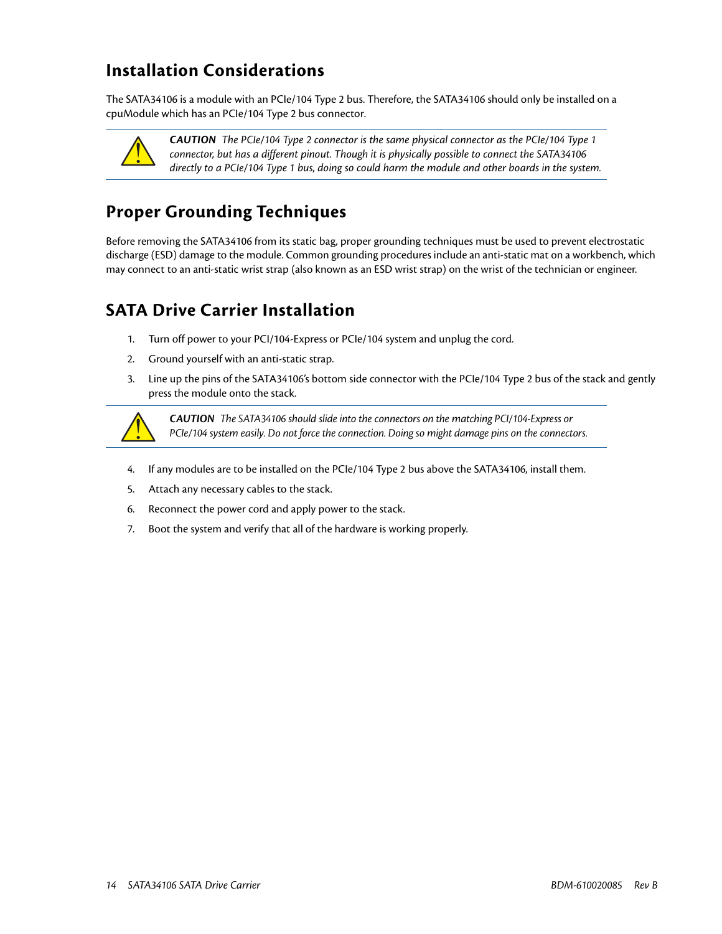## <span id="page-13-0"></span>**Installation Considerations**

The SATA34106 is a module with an PCIe/104 Type 2 bus. Therefore, the SATA34106 should only be installed on a cpuModule which has an PCIe/104 Type 2 bus connector.



*CAUTION The PCIe/104 Type 2 connector is the same physical connector as the PCIe/104 Type 1 connector, but has a different pinout. Though it is physically possible to connect the SATA34106 directly to a PCIe/104 Type 1 bus, doing so could harm the module and other boards in the system.*

## <span id="page-13-1"></span>**Proper Grounding Techniques**

Before removing the SATA34106 from its static bag, proper grounding techniques must be used to prevent electrostatic discharge (ESD) damage to the module. Common grounding procedures include an anti-static mat on a workbench, which may connect to an anti-static wrist strap (also known as an ESD wrist strap) on the wrist of the technician or engineer.

## <span id="page-13-2"></span>**SATA Drive Carrier Installation**

- 1. Turn off power to your PCI/104-Express or PCIe/104 system and unplug the cord.
- 2. Ground yourself with an anti-static strap.
- 3. Line up the pins of the SATA34106's bottom side connector with the PCIe/104 Type 2 bus of the stack and gently press the module onto the stack.



*CAUTION* The SATA34106 should slide into the connectors on the matching PCI/104-Express or PCIe/104 system easily. Do not force the connection. Doing so might damage pins on the connectors.

- 4. If any modules are to be installed on the PCIe/104 Type 2 bus above the SATA34106, install them.
- 5. Attach any necessary cables to the stack.
- 6. Reconnect the power cord and apply power to the stack.
- 7. Boot the system and verify that all of the hardware is working properly.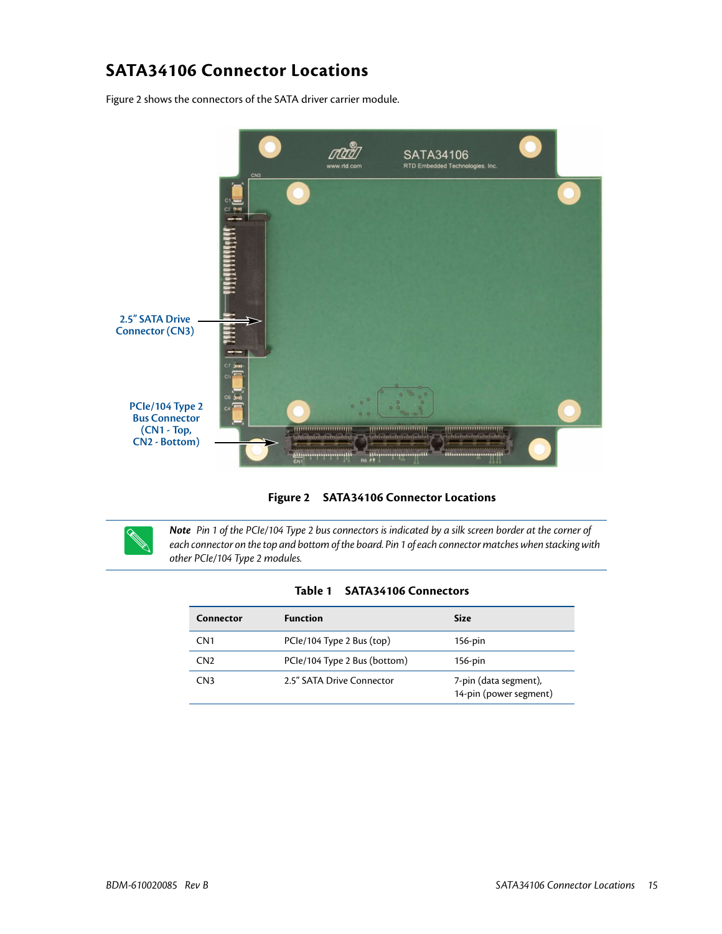## <span id="page-14-0"></span>**SATA34106 Connector Locations**

[Figure 2](#page-14-1) shows the connectors of the SATA driver carrier module.





<span id="page-14-1"></span>

*Note* Pin 1 of the PCIe/104 Type 2 bus connectors is indicated by a silk screen border at the corner of each connector on the top and bottom of the board. Pin 1 of each connector matches when stacking with other PCIe/104 Type 2 modules.

| Table 1<br><b>SATA34106 Connectors</b> |  |
|----------------------------------------|--|
|----------------------------------------|--|

| Connector       | <b>Function</b>              | <b>Size</b>                                     |
|-----------------|------------------------------|-------------------------------------------------|
| CN <sub>1</sub> | PCle/104 Type 2 Bus (top)    | $156$ -pin                                      |
| CN <sub>2</sub> | PCle/104 Type 2 Bus (bottom) | $156$ -pin                                      |
| CN <sub>3</sub> | 2.5" SATA Drive Connector    | 7-pin (data segment),<br>14-pin (power segment) |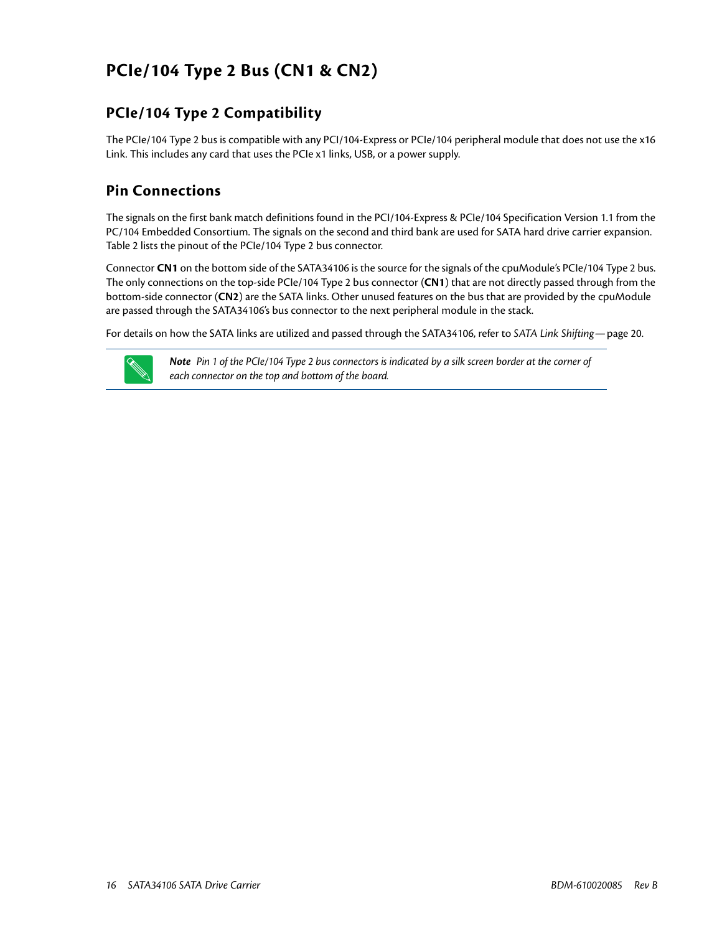## <span id="page-15-0"></span>**PCIe/104 Type 2 Bus (CN1 & CN2)**

## <span id="page-15-1"></span>**PCIe/104 Type 2 Compatibility**

The PCIe/104 Type 2 bus is compatible with any PCI/104-Express or PCIe/104 peripheral module that does not use the x16 Link. This includes any card that uses the PCIe x1 links, USB, or a power supply.

## <span id="page-15-2"></span>**Pin Connections**

The signals on the first bank match definitions found in the PCI/104-Express & PCIe/104 Specification Version 1.1 from the PC/104 Embedded Consortium. The signals on the second and third bank are used for SATA hard drive carrier expansion. [Table 2](#page-16-0) lists the pinout of the PCIe/104 Type 2 bus connector.

Connector **CN1** on the bottom side of the SATA34106 is the source for the signals of the cpuModule's PCIe/104 Type 2 bus. The only connections on the top-side PCIe/104 Type 2 bus connector (**CN1**) that are not directly passed through from the bottom-side connector (**CN2**) are the SATA links. Other unused features on the bus that are provided by the cpuModule are passed through the SATA34106's bus connector to the next peripheral module in the stack.

For details on how the SATA links are utilized and passed through the SATA34106, refer to *[SATA Link Shifting](#page-19-1)*—page 20.



**Note** Pin 1 of the PCIe/104 Type 2 bus connectors is indicated by a silk screen border at the corner of each connector on the top and bottom of the board.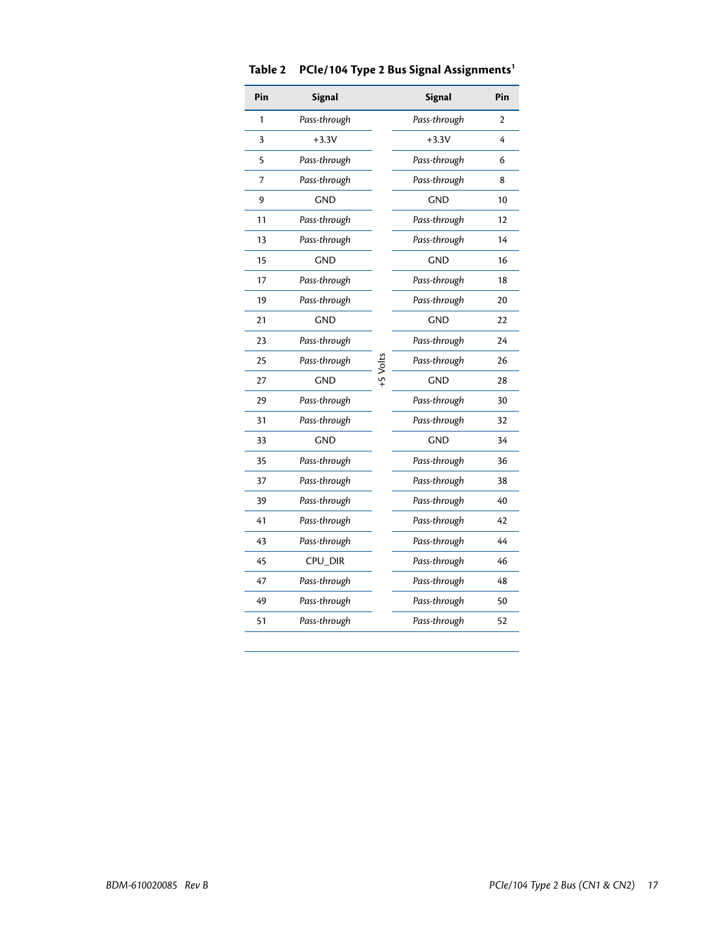<span id="page-16-0"></span>

| Pin | <b>Signal</b> |            | <b>Signal</b> | Pin            |
|-----|---------------|------------|---------------|----------------|
| 1   | Pass-through  |            | Pass-through  | $\mathfrak{p}$ |
| 3   | $+3.3V$       |            | $+3.3V$       | 4              |
| 5   | Pass-through  |            | Pass-through  | 6              |
| 7   | Pass-through  |            | Pass-through  | 8              |
| 9   | <b>GND</b>    |            | <b>GND</b>    | 10             |
| 11  | Pass-through  |            | Pass-through  | 12             |
| 13  | Pass-through  |            | Pass-through  | 14             |
| 15  | <b>GND</b>    |            | <b>GND</b>    | 16             |
| 17  | Pass-through  |            | Pass-through  | 18             |
| 19  | Pass-through  |            | Pass-through  | 20             |
| 21  | <b>GND</b>    |            | <b>GND</b>    | 22             |
| 23  | Pass-through  |            | Pass-through  | 24             |
| 25  | Pass-through  |            | Pass-through  | 26             |
| 27  | <b>GND</b>    | $+5$ Volts | <b>GND</b>    | 28             |
| 29  | Pass-through  |            | Pass-through  | 30             |
| 31  | Pass-through  |            | Pass-through  | 32             |
| 33  | <b>GND</b>    |            | <b>GND</b>    | 34             |
| 35  | Pass-through  |            | Pass-through  | 36             |
| 37  | Pass-through  |            | Pass-through  | 38             |
| 39  | Pass-through  |            | Pass-through  | 40             |
| 41  | Pass-through  |            | Pass-through  | 42             |
| 43  | Pass-through  |            | Pass-through  | 44             |
| 45  | CPU_DIR       |            | Pass-through  | 46             |
| 47  | Pass-through  |            | Pass-through  | 48             |
| 49  | Pass-through  |            | Pass-through  | 50             |
| 51  | Pass-through  |            | Pass-through  | 52             |

#### **Table 2 PCIe/104 Type 2 Bus Signal Assignments1**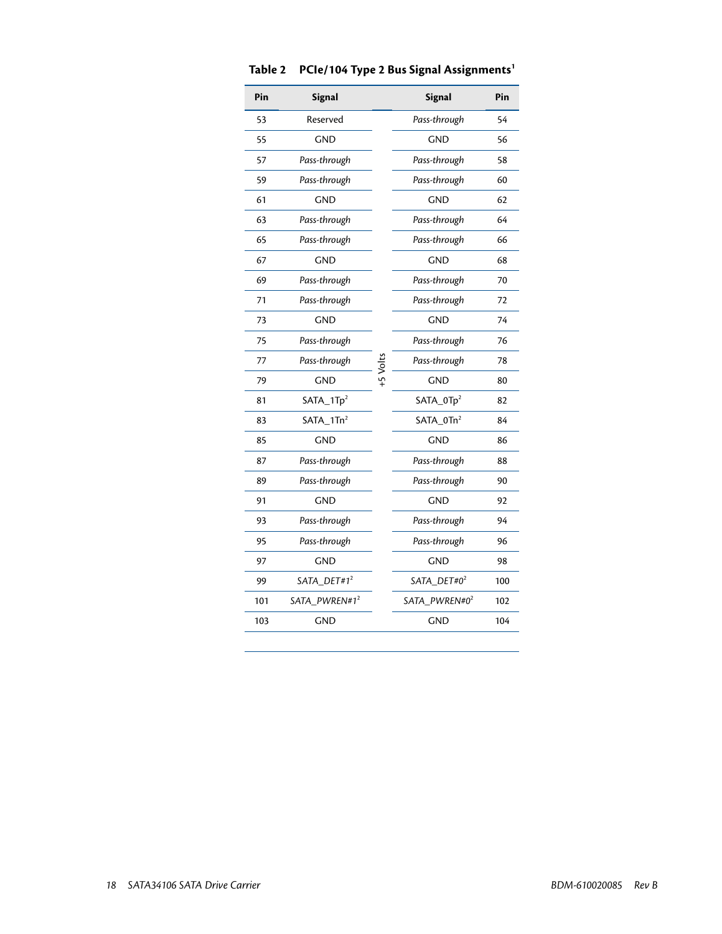| Pin | <b>Signal</b>             |            | <b>Signal</b>             | Pin |
|-----|---------------------------|------------|---------------------------|-----|
| 53  | Reserved                  |            | Pass-through              | 54  |
| 55  | <b>GND</b>                |            | <b>GND</b>                | 56  |
| 57  | Pass-through              |            | Pass-through              | 58  |
| 59  | Pass-through              |            | Pass-through              | 60  |
| 61  | <b>GND</b>                |            | <b>GND</b>                | 62  |
| 63  | Pass-through              |            | Pass-through              | 64  |
| 65  | Pass-through              |            | Pass-through              | 66  |
| 67  | <b>GND</b>                |            | <b>GND</b>                | 68  |
| 69  | Pass-through              |            | Pass-through              | 70  |
| 71  | Pass-through              |            | Pass-through              | 72  |
| 73  | <b>GND</b>                |            | <b>GND</b>                | 74  |
| 75  | Pass-through              |            | Pass-through              | 76  |
| 77  | Pass-through              |            | Pass-through              | 78  |
| 79  | <b>GND</b>                | $+5$ Volts | <b>GND</b>                | 80  |
| 81  | SATA_1Tp <sup>2</sup>     |            | SATA_0Tp <sup>2</sup>     | 82  |
| 83  | $SATA_1Tn^2$              |            | SATA_0Tn <sup>2</sup>     | 84  |
| 85  | <b>GND</b>                |            | <b>GND</b>                | 86  |
| 87  | Pass-through              |            | Pass-through              | 88  |
| 89  | Pass-through              |            | Pass-through              | 90  |
| 91  | <b>GND</b>                |            | <b>GND</b>                | 92  |
| 93  | Pass-through              |            | Pass-through              | 94  |
| 95  | Pass-through              |            | Pass-through              | 96  |
| 97  | <b>GND</b>                |            | <b>GND</b>                | 98  |
| 99  | SATA_DET#1 <sup>2</sup>   |            | SATA_DET#0 <sup>2</sup>   | 100 |
| 101 | SATA_PWREN#1 <sup>2</sup> |            | SATA_PWREN#0 <sup>2</sup> | 102 |
| 103 | <b>GND</b>                |            | <b>GND</b>                | 104 |

#### **Table 2 PCIe/104 Type 2 Bus Signal Assignments1**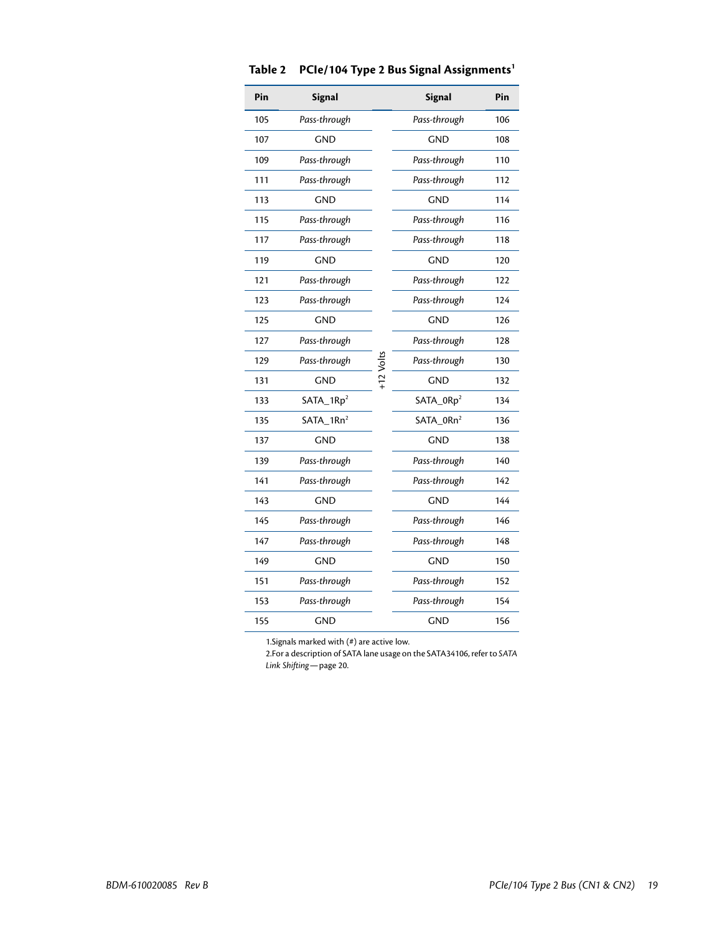| Pin | <b>Signal</b>         |           | <b>Signal</b>         | Pin |
|-----|-----------------------|-----------|-----------------------|-----|
| 105 | Pass-through          |           | Pass-through          | 106 |
| 107 | <b>GND</b>            |           | <b>GND</b>            | 108 |
| 109 | Pass-through          |           | Pass-through          | 110 |
| 111 | Pass-through          |           | Pass-through          | 112 |
| 113 | <b>GND</b>            |           | <b>GND</b>            | 114 |
| 115 | Pass-through          |           | Pass-through          | 116 |
| 117 | Pass-through          |           | Pass-through          | 118 |
| 119 | <b>GND</b>            |           | <b>GND</b>            | 120 |
| 121 | Pass-through          |           | Pass-through          | 122 |
| 123 | Pass-through          | +12 Volts | Pass-through          | 124 |
| 125 | <b>GND</b>            |           | <b>GND</b>            | 126 |
| 127 | Pass-through          |           | Pass-through          | 128 |
| 129 | Pass-through          |           | Pass-through          | 130 |
| 131 | <b>GND</b>            |           | <b>GND</b>            | 132 |
| 133 | SATA_1Rp <sup>2</sup> |           | SATA_0Rp <sup>2</sup> | 134 |
| 135 | SATA_1Rn <sup>2</sup> |           | SATA_0Rn <sup>2</sup> | 136 |
| 137 | <b>GND</b>            |           | <b>GND</b>            | 138 |
| 139 | Pass-through          |           | Pass-through          | 140 |
| 141 | Pass-through          |           | Pass-through          | 142 |
| 143 | <b>GND</b>            |           | <b>GND</b>            | 144 |
| 145 | Pass-through          |           | Pass-through          | 146 |
| 147 | Pass-through          |           | Pass-through          | 148 |
| 149 | <b>GND</b>            |           | <b>GND</b>            | 150 |
| 151 | Pass-through          |           | Pass-through          | 152 |
| 153 | Pass-through          |           | Pass-through          | 154 |
| 155 | <b>GND</b>            |           | <b>GND</b>            | 156 |

#### **Table 2 PCIe/104 Type 2 Bus Signal Assignments1**

1.Signals marked with (#) are active low.

<span id="page-18-0"></span>2.For a description of SATA lane usage on the SATA34106, refer to *[SATA](#page-19-1)  [Link Shifting](#page-19-1)*—page 20.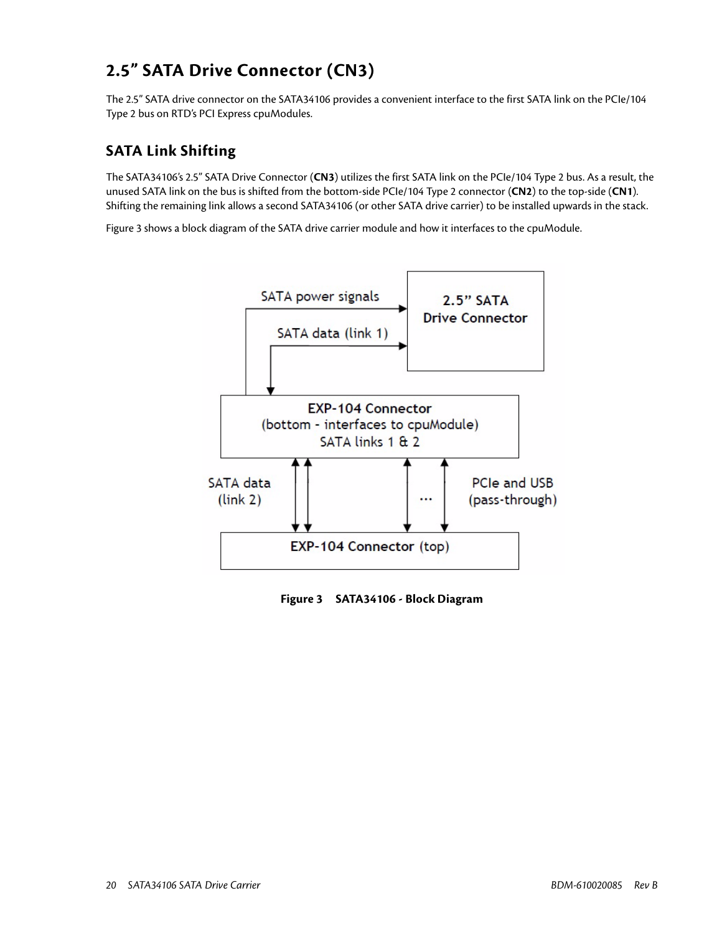## <span id="page-19-0"></span>**2.5" SATA Drive Connector (CN3)**

The 2.5" SATA drive connector on the SATA34106 provides a convenient interface to the first SATA link on the PCIe/104 Type 2 bus on RTD's PCI Express cpuModules.

## <span id="page-19-1"></span>**SATA Link Shifting**

The SATA34106's 2.5" SATA Drive Connector (**CN3**) utilizes the first SATA link on the PCIe/104 Type 2 bus. As a result, the unused SATA link on the bus is shifted from the bottom-side PCIe/104 Type 2 connector (**CN2**) to the top-side (**CN1**). Shifting the remaining link allows a second SATA34106 (or other SATA drive carrier) to be installed upwards in the stack.

[Figure 3](#page-19-2) shows a block diagram of the SATA drive carrier module and how it interfaces to the cpuModule.



<span id="page-19-2"></span>**Figure 3 SATA34106 - Block Diagram**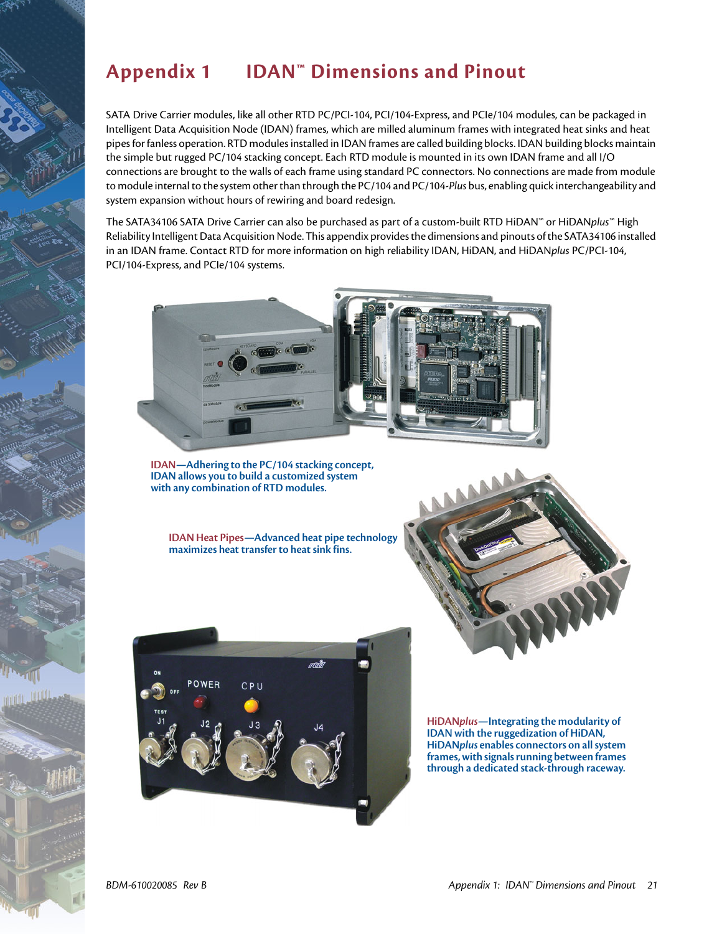# <span id="page-20-1"></span><span id="page-20-0"></span>**Appendix 1 IDAN™ Dimensions and Pinout**

SATA Drive Carrier modules, like all other RTD PC/PCI-104, PCI/104-Express, and PCIe/104 modules, can be packaged in Intelligent Data Acquisition Node (IDAN) frames, which are milled aluminum frames with integrated heat sinks and heat pipes for fanless operation. RTD modules installed in IDAN frames are called building blocks. IDAN building blocks maintain the simple but rugged PC/104 stacking concept. Each RTD module is mounted in its own IDAN frame and all I/O connections are brought to the walls of each frame using standard PC connectors. No connections are made from module to module internal to the system other than through the PC/104 and PC/104-*Plus* bus, enabling quick interchangeability and system expansion without hours of rewiring and board redesign.

The SATA34106 SATA Drive Carrier can also be purchased as part of a custom-built RTD HiDAN™ or HiDAN*plus*™ High Reliability Intelligent Data Acquisition Node. This appendix provides the dimensions and pinouts of the SATA34106 installed in an IDAN frame. Contact RTD for more information on high reliability IDAN, HiDAN, and HiDAN*plus* PC/PCI-104, PCI/104-Express, and PCIe/104 systems.



**IDAN—Adhering to the PC/104 stacking concept, IDAN allows you to build a customized system with any combination of RTD modules.**

**IDAN Heat Pipes—Advanced heat pipe technology maximizes heat transfer to heat sink fins.**



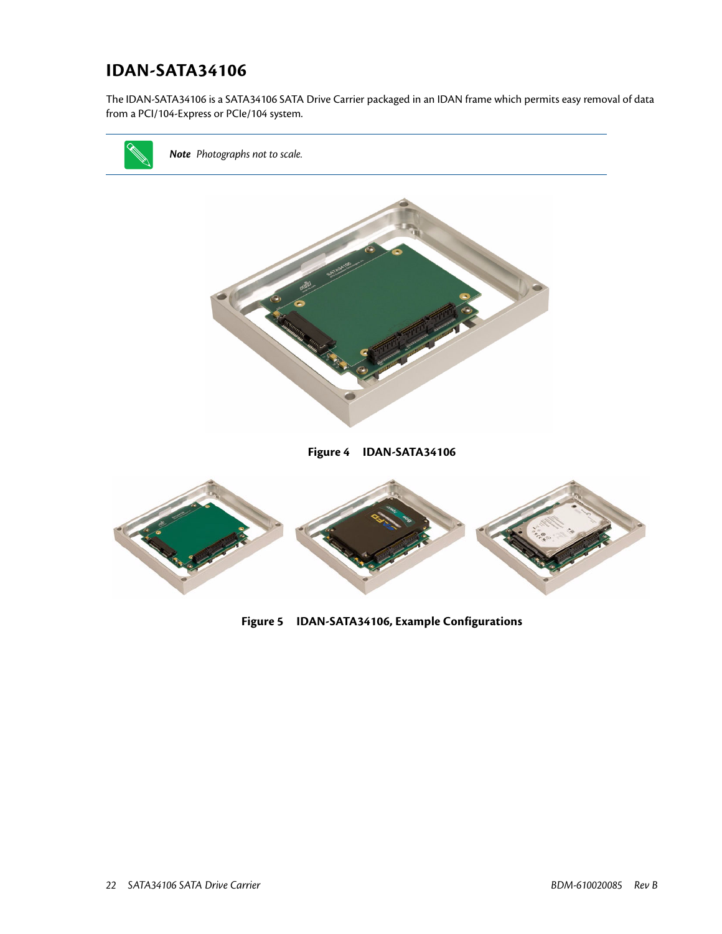## <span id="page-21-0"></span>**IDAN-SATA34106**

The IDAN-SATA34106 is a SATA34106 SATA Drive Carrier packaged in an IDAN frame which permits easy removal of data from a PCI/104-Express or PCIe/104 system.



**Figure 5 IDAN-SATA34106, Example Configurations**